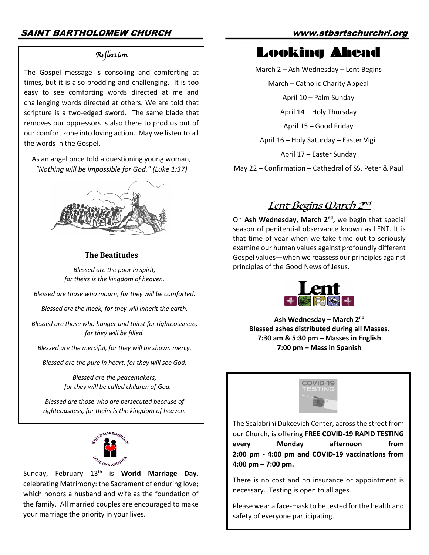#### *Reflection*

The Gospel message is consoling and comforting at times, but it is also prodding and challenging. It is too easy to see comforting words directed at me and challenging words directed at others. We are told that scripture is a two-edged sword. The same blade that removes our oppressors is also there to prod us out of our comfort zone into loving action. May we listen to all the words in the Gospel.

As an angel once told a questioning young woman, *"Nothing will be impossible for God." (Luke 1:37)*



#### **The Beatitudes**

*Blessed are the poor in spirit, for theirs is the kingdom of heaven.*

*Blessed are those who mourn, for they will be comforted.*

*Blessed are the meek, for they will inherit the earth.*

*Blessed are those who hunger and thirst for righteousness, for they will be filled.*

*Blessed are the merciful, for they will be shown mercy.*

*Blessed are the pure in heart, for they will see God.*

*Blessed are the peacemakers, for they will be called children of God.*

*Blessed are those who are persecuted because of righteousness, for theirs is the kingdom of heaven.*



Sunday, February 13th is **World Marriage Day**, celebrating Matrimony: the Sacrament of enduring love; which honors a husband and wife as the foundation of the family. All married couples are encouraged to make your marriage the priority in your lives.

# Looking Ahead

March 2 – Ash Wednesday – Lent Begins

March – Catholic Charity Appeal

April 10 – Palm Sunday

April 14 – Holy Thursday

April 15 – Good Friday

April 16 – Holy Saturday – Easter Vigil

April 17 – Easter Sunday

May 22 – Confirmation – Cathedral of SS. Peter & Paul

## Lent Begins *(Darch 2nd*

On **Ash Wednesday, March 2nd,** we begin that special season of penitential observance known as LENT. It is that time of year when we take time out to seriously examine our human values against profoundly different Gospel values—when we reassess our principles against principles of the Good News of Jesus.



**Ash Wednesday – March 2nd Blessed ashes distributed during all Masses. 7:30 am & 5:30 pm – Masses in English 7:00 pm – Mass in Spanish**



The Scalabrini Dukcevich Center, across the street from our Church, is offering **FREE COVID-19 RAPID TESTING every Monday afternoon from 2:00 pm - 4:00 pm and COVID-19 vaccinations from 4:00 pm – 7:00 pm.** 

There is no cost and no insurance or appointment is necessary. Testing is open to all ages.

Please wear a face-mask to be tested for the health and safety of everyone participating.